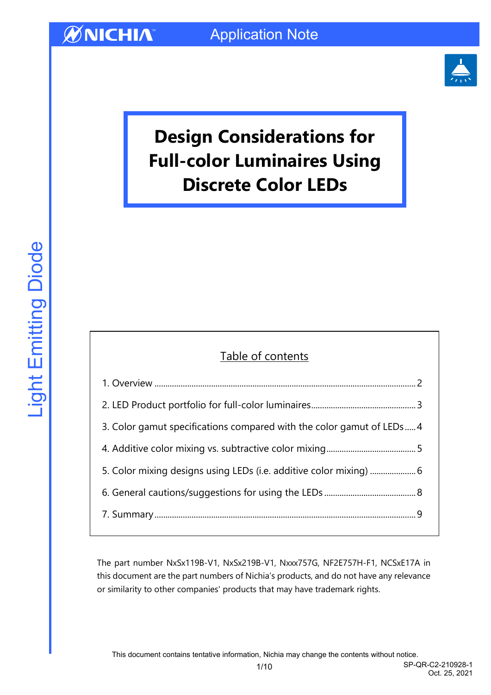

# **Design Considerations for Full-color Luminaires Using Discrete Color LEDs**

### Table of contents

| 3. Color gamut specifications compared with the color gamut of LEDs4 |  |
|----------------------------------------------------------------------|--|
|                                                                      |  |
|                                                                      |  |
|                                                                      |  |
|                                                                      |  |
|                                                                      |  |

The part number NxSx119B-V1, NxSx219B-V1, Nxxx757G, NF2E757H-F1, NCSxE17A in this document are the part numbers of Nichia's products, and do not have any relevance or similarity to other companies' products that may have trademark rights.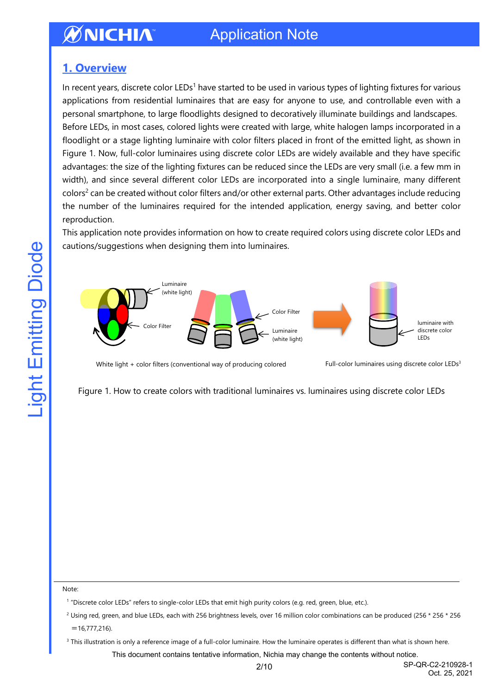## Application Note

### <span id="page-1-0"></span>**1. Overview**

In recent years, discrete color LEDs<sup>1</sup> have started to be used in various types of lighting fixtures for various applications from residential luminaires that are easy for anyone to use, and controllable even with a personal smartphone, to large floodlights designed to decoratively illuminate buildings and landscapes. Before LEDs, in most cases, colored lights were created with large, white halogen lamps incorporated in a floodlight or a stage lighting luminaire with color filters placed in front of the emitted light, as shown in Figure 1. Now, full-color luminaires using discrete color LEDs are widely available and they have specific advantages: the size of the lighting fixtures can be reduced since the LEDs are very small (i.e. a few mm in width), and since several different color LEDs are incorporated into a single luminaire, many different colors<sup>2</sup> can be created without color filters and/or other external parts. Other advantages include reducing the number of the luminaires required for the intended application, energy saving, and better color reproduction.

This application note provides information on how to create required colors using discrete color LEDs and cautions/suggestions when designing them into luminaires.



White light + color filters (conventional way of producing colored

Full-color luminaires using discrete color LEDs<sup>3</sup>

Figure 1. How to create colors with traditional luminaires vs. luminaires using discrete color LEDs

#### Note:

1 "Discrete color LEDs" refers to single-color LEDs that emit high purity colors (e.g. red, green, blue, etc.).

<sup>2</sup> Using red, green, and blue LEDs, each with 256 brightness levels, over 16 million color combinations can be produced (256 \* 256 \* 256  $=16,777,216$ ).

<sup>3</sup> This illustration is only a reference image of a full-color luminaire. How the luminaire operates is different than what is shown here.

This document contains tentative information, Nichia may change the contents without notice.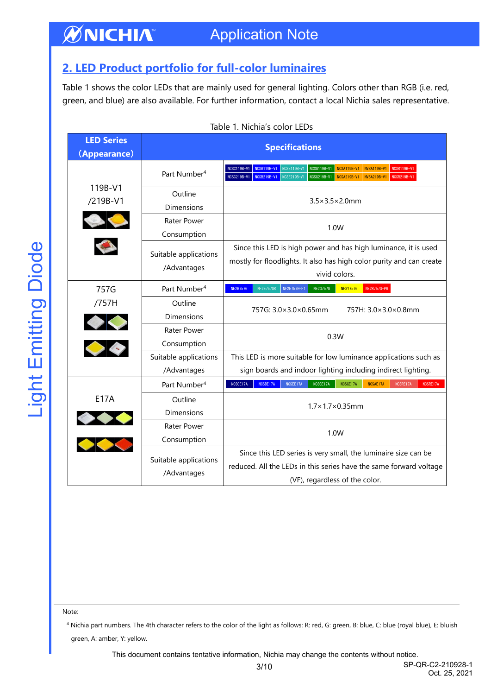#### **ØNICHIA** Application Note

## <span id="page-2-0"></span>**2. LED Product portfolio for full-color luminaires**

Table 1 shows the color LEDs that are mainly used for general lighting. Colors other than RGB (i.e. red, green, and blue) are also available. For further information, contact a local Nichia sales representative.

| <b>LED Series</b><br>(Appearance) | <b>Specifications</b>                |                                                                                                                                                                                                                                                                |  |  |  |
|-----------------------------------|--------------------------------------|----------------------------------------------------------------------------------------------------------------------------------------------------------------------------------------------------------------------------------------------------------------|--|--|--|
|                                   | Part Number <sup>4</sup>             | <b>NCSC119B-V1</b><br><b>NCSB119B-V1</b><br><b>NCSE119B-V1</b><br>NCSG119B-V1<br><b>NCSA119B-V1</b><br><b>NVSA119B-V1</b><br>NCSR119B-V1<br>NCSC219B-V1   NCSB219B-V1<br>NCSE219B-V1<br>NCSG219B-V1<br><b>NCSA219B-V1</b><br><b>NVSA219B-V1</b><br>NCSR219B-V1 |  |  |  |
| 119B-V1<br>/219B-V1               | Outline<br><b>Dimensions</b>         | $3.5 \times 3.5 \times 2.0$ mm                                                                                                                                                                                                                                 |  |  |  |
|                                   | Rater Power<br>Consumption           | 1.0W                                                                                                                                                                                                                                                           |  |  |  |
|                                   | Suitable applications<br>/Advantages | Since this LED is high power and has high luminance, it is used<br>mostly for floodlights. It also has high color purity and can create<br>vivid colors.                                                                                                       |  |  |  |
| 757G                              | Part Number <sup>4</sup>             | <b>NFSY757G</b><br>NE2R757G-P6<br><b>NE2B757G</b><br><b>NF2E757GR</b><br>NF2E757H-F1<br><b>NE2G757G</b>                                                                                                                                                        |  |  |  |
| /757H                             | Outline<br><b>Dimensions</b>         | 757G: 3.0×3.0×0.65mm<br>757H: 3.0×3.0×0.8mm                                                                                                                                                                                                                    |  |  |  |
| $\bullet$<br>S. C.                | Rater Power<br>Consumption           | 0.3W                                                                                                                                                                                                                                                           |  |  |  |
|                                   | Suitable applications<br>/Advantages | This LED is more suitable for low luminance applications such as<br>sign boards and indoor lighting including indirect lighting.                                                                                                                               |  |  |  |
|                                   | Part Number <sup>4</sup>             | NCSBE17A<br>NCSCE17A<br>NCSEE17A<br>NCSGE17A<br>NCSGE17A<br>NCSAE17A<br>NCSRE17A<br>NCSRE17A                                                                                                                                                                   |  |  |  |
| <b>E17A</b>                       | Outline<br><b>Dimensions</b>         | $1.7\times1.7\times0.35$ mm                                                                                                                                                                                                                                    |  |  |  |
|                                   | Rater Power<br>Consumption           | 1.0W                                                                                                                                                                                                                                                           |  |  |  |
|                                   | Suitable applications<br>/Advantages | Since this LED series is very small, the luminaire size can be<br>reduced. All the LEDs in this series have the same forward voltage<br>(VF), regardless of the color.                                                                                         |  |  |  |

Note:

<sup>4</sup> Nichia part numbers. The 4th character refers to the color of the light as follows: R: red, G: green, B: blue, C: blue (royal blue), E: bluish green, A: amber, Y: yellow.

This document contains tentative information, Nichia may change the contents without notice.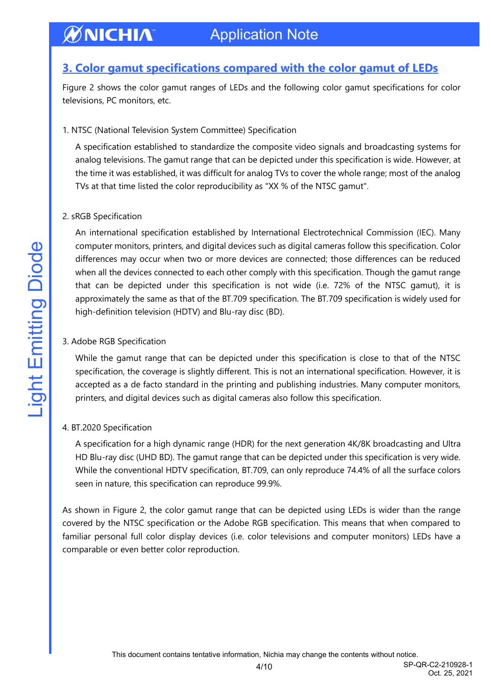#### **ØNICHIA** Application Note

### <span id="page-3-0"></span>**3. Color gamut specifications compared with the color gamut of LEDs**

Figure 2 shows the color gamut ranges of LEDs and the following color gamut specifications for color televisions, PC monitors, etc.

#### 1. NTSC (National Television System Committee) Specification

A specification established to standardize the composite video signals and broadcasting systems for analog televisions. The gamut range that can be depicted under this specification is wide. However, at the time it was established, it was difficult for analog TVs to cover the whole range; most of the analog TVs at that time listed the color reproducibility as "XX % of the NTSC gamut".

#### 2. sRGB Specification

An international specification established by International Electrotechnical Commission (IEC). Many computer monitors, printers, and digital devices such as digital cameras follow this specification. Color differences may occur when two or more devices are connected; those differences can be reduced when all the devices connected to each other comply with this specification. Though the gamut range that can be depicted under this specification is not wide (i.e. 72% of the NTSC gamut), it is approximately the same as that of the BT.709 specification. The BT.709 specification is widely used for high-definition television (HDTV) and Blu-ray disc (BD).

#### 3. Adobe RGB Specification

While the gamut range that can be depicted under this specification is close to that of the NTSC specification, the coverage is slightly different. This is not an international specification. However, it is accepted as a de facto standard in the printing and publishing industries. Many computer monitors, printers, and digital devices such as digital cameras also follow this specification.

#### 4. BT.2020 Specification

A specification for a high dynamic range (HDR) for the next generation 4K/8K broadcasting and Ultra HD Blu-ray disc (UHD BD). The gamut range that can be depicted under this specification is very wide. While the conventional HDTV specification, BT.709, can only reproduce 74.4% of all the surface colors seen in nature, this specification can reproduce 99.9%.

As shown in Figure 2, the color gamut range that can be depicted using LEDs is wider than the range covered by the NTSC specification or the Adobe RGB specification. This means that when compared to familiar personal full color display devices (i.e. color televisions and computer monitors) LEDs have a comparable or even better color reproduction.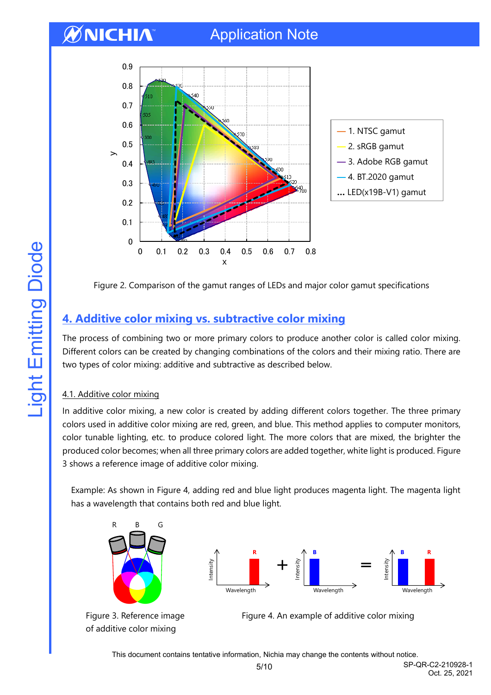

Figure 2. Comparison of the gamut ranges of LEDs and major color gamut specifications

## <span id="page-4-0"></span>**4. Additive color mixing vs. subtractive color mixing**

The process of combining two or more primary colors to produce another color is called color mixing. Different colors can be created by changing combinations of the colors and their mixing ratio. There are two types of color mixing: additive and subtractive as described below.

### 4.1. Additive color mixing

In additive color mixing, a new color is created by adding different colors together. The three primary colors used in additive color mixing are red, green, and blue. This method applies to computer monitors, color tunable lighting, etc. to produce colored light. The more colors that are mixed, the brighter the produced color becomes; when all three primary colors are added together, white light is produced. Figure 3 shows a reference image of additive color mixing.

Example: As shown in Figure 4, adding red and blue light produces magenta light. The magenta light has a wavelength that contains both red and blue light.





Figure 3. Reference image Figure 4. An example of additive color mixing

This document contains tentative information, Nichia may change the contents without notice.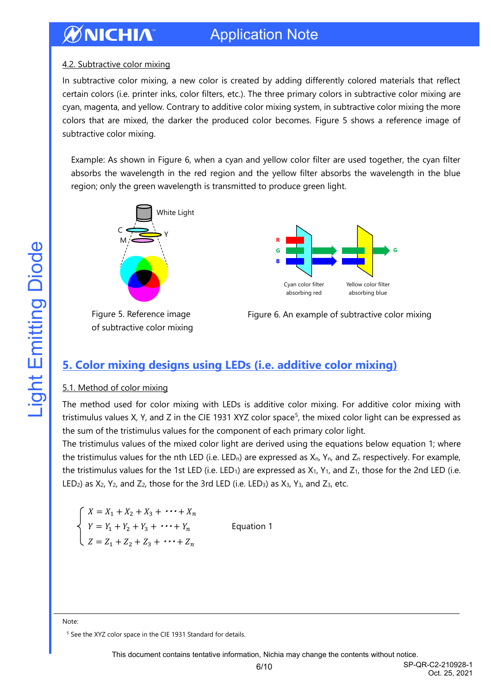#### ØNICHIA Application Note

#### 4.2. Subtractive color mixing

In subtractive color mixing, a new color is created by adding differently colored materials that reflect certain colors (i.e. printer inks, color filters, etc.). The three primary colors in subtractive color mixing are cyan, magenta, and yellow. Contrary to additive color mixing system, in subtractive color mixing the more colors that are mixed, the darker the produced color becomes. Figure 5 shows a reference image of subtractive color mixing.

Example: As shown in Figure 6, when a cyan and yellow color filter are used together, the cyan filter absorbs the wavelength in the red region and the yellow filter absorbs the wavelength in the blue region; only the green wavelength is transmitted to produce green light.



of subtractive color mixing



Figure 5. Reference image Figure 6. An example of subtractive color mixing

### <span id="page-5-0"></span>**5. Color mixing designs using LEDs (i.e. additive color mixing)**

#### 5.1. Method of color mixing

The method used for color mixing with LEDs is additive color mixing. For additive color mixing with tristimulus values X, Y, and Z in the CIE 1931 XYZ color space<sup>5</sup>, the mixed color light can be expressed as the sum of the tristimulus values for the component of each primary color light.

The tristimulus values of the mixed color light are derived using the equations below equation 1; where the tristimulus values for the nth LED (i.e. LED<sub>n</sub>) are expressed as  $X_{n}$ ,  $Y_{n}$ , and  $Z_{n}$  respectively. For example, the tristimulus values for the 1st LED (i.e. LED<sub>1</sub>) are expressed as  $X_1$ ,  $Y_1$ , and  $Z_1$ , those for the 2nd LED (i.e. LED<sub>2</sub>) as  $X_2$ ,  $Y_2$ , and  $Z_2$ , those for the 3rd LED (i.e. LED<sub>3</sub>) as  $X_3$ ,  $Y_3$ , and  $Z_3$ , etc.

$$
\begin{cases}\nX = X_1 + X_2 + X_3 + \cdots + X_n \\
Y = Y_1 + Y_2 + Y_3 + \cdots + Y_n \\
Z = Z_1 + Z_2 + Z_3 + \cdots + Z_n\n\end{cases}
$$
 Equ

ation 1

Note:

<sup>&</sup>lt;sup>5</sup> See the XYZ color space in the CIE 1931 Standard for details.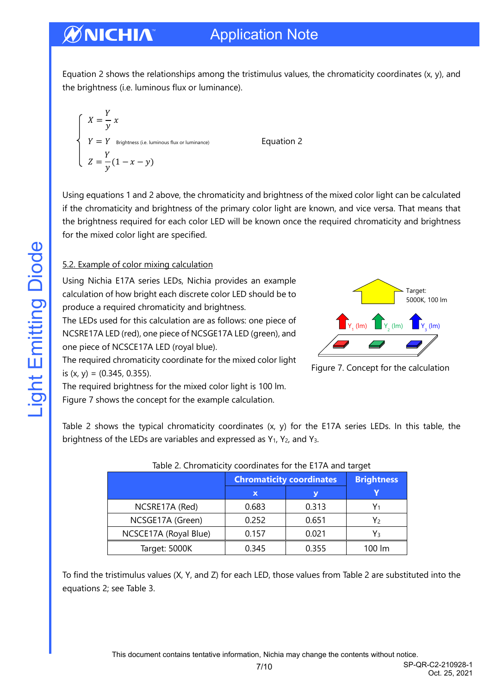Equation 2 shows the relationships among the tristimulus values, the chromaticity coordinates (x, y), and the brightness (i.e. luminous flux or luminance).

$$
X = \frac{Y}{y} x
$$
  
\n
$$
Y = Y
$$
 *Brightness (i.e. luminous flux or luminance) Equation 2*  
\n
$$
Z = \frac{Y}{y} (1 - x - y)
$$

Using equations 1 and 2 above, the chromaticity and brightness of the mixed color light can be calculated if the chromaticity and brightness of the primary color light are known, and vice versa. That means that the brightness required for each color LED will be known once the required chromaticity and brightness for the mixed color light are specified.

#### 5.2. Example of color mixing calculation

Using Nichia E17A series LEDs, Nichia provides an example calculation of how bright each discrete color LED should be to produce a required chromaticity and brightness.

The LEDs used for this calculation are as follows: one piece of NCSRE17A LED (red), one piece of NCSGE17A LED (green), and one piece of NCSCE17A LED (royal blue).



Figure 7. Concept for the calculation

The required chromaticity coordinate for the mixed color light is  $(x, y) = (0.345, 0.355)$ .

The required brightness for the mixed color light is 100 lm. Figure 7 shows the concept for the example calculation.

Table 2 shows the typical chromaticity coordinates (x, y) for the E17A series LEDs. In this table, the brightness of the LEDs are variables and expressed as  $Y_1$ ,  $Y_2$ , and  $Y_3$ .

| $10.0010$ and $10.0001$ and $10.000$ and $10.000$ and $10.000$ and $10.000$ and $10.000$ |                                 |                   |        |  |  |
|------------------------------------------------------------------------------------------|---------------------------------|-------------------|--------|--|--|
|                                                                                          | <b>Chromaticity coordinates</b> | <b>Brightness</b> |        |  |  |
|                                                                                          | ΙX,                             |                   |        |  |  |
| NCSRE17A (Red)                                                                           | 0.683                           | 0.313             |        |  |  |
| NCSGE17A (Green)                                                                         | 0.252                           | 0.651             | Y۶     |  |  |
| NCSCE17A (Royal Blue)                                                                    | 0.157                           | 0.021             | Y٩     |  |  |
| Target: 5000K                                                                            | 0.345                           | 0.355             | 100 lm |  |  |

To find the tristimulus values (X, Y, and Z) for each LED, those values from Table 2 are substituted into the equations 2; see Table 3.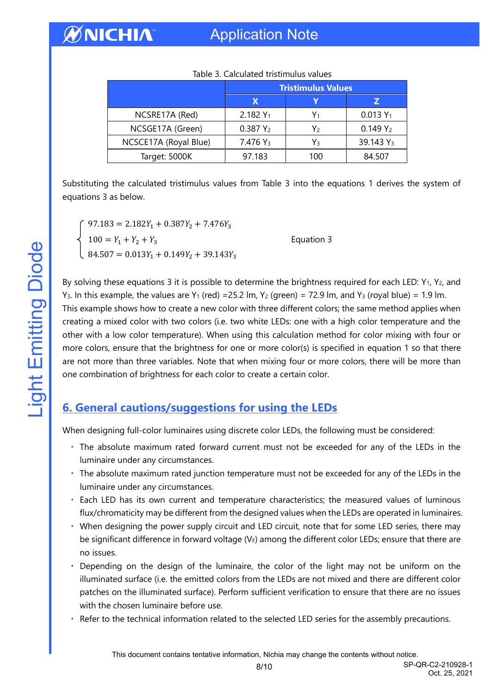|                       | <b>Tristimulus Values</b> |     |                       |
|-----------------------|---------------------------|-----|-----------------------|
|                       | х                         |     |                       |
| NCSRE17A (Red)        | $2.182 Y_1$               | Y1  | $0.013 Y_1$           |
| NCSGE17A (Green)      | 0.387 Y <sub>2</sub>      | Y2  | $0.149Y_2$            |
| NCSCE17A (Royal Blue) | 7.476 Y <sub>3</sub>      | Y٩  | 39.143 Y <sub>3</sub> |
| Target: 5000K         | 97.183                    | 100 | 84.507                |

Table 3. Calculated tristimulus values

Substituting the calculated tristimulus values from Table 3 into the equations 1 derives the system of equations 3 as below.

 $97.183 = 2.182Y_1 + 0.387Y_2 + 7.476Y_3$  $100 = Y_1 + Y_2 + Y_3$  Equation 3  $84.507 = 0.013Y_1 + 0.149Y_2 + 39.143Y_3$ 

By solving these equations 3 it is possible to determine the brightness required for each LED: Y<sub>1</sub>, Y<sub>2</sub>, and Y<sub>3</sub>. In this example, the values are Y<sub>1</sub> (red) = 25.2 lm, Y<sub>2</sub> (green) = 72.9 lm, and Y<sub>3</sub> (royal blue) = 1.9 lm. This example shows how to create a new color with three different colors; the same method applies when creating a mixed color with two colors (i.e. two white LEDs: one with a high color temperature and the other with a low color temperature). When using this calculation method for color mixing with four or more colors, ensure that the brightness for one or more color(s) is specified in equation 1 so that there are not more than three variables. Note that when mixing four or more colors, there will be more than one combination of brightness for each color to create a certain color.

## <span id="page-7-0"></span>**6. General cautions/suggestions for using the LEDs**

When designing full-color luminaires using discrete color LEDs, the following must be considered:

- ‧ The absolute maximum rated forward current must not be exceeded for any of the LEDs in the luminaire under any circumstances.
- ‧ The absolute maximum rated junction temperature must not be exceeded for any of the LEDs in the luminaire under any circumstances.
- ‧ Each LED has its own current and temperature characteristics; the measured values of luminous flux/chromaticity may be different from the designed values when the LEDs are operated in luminaires.
- ‧ When designing the power supply circuit and LED circuit, note that for some LED series, there may be significant difference in forward voltage  $(V_F)$  among the different color LEDs; ensure that there are no issues.
- Depending on the design of the luminaire, the color of the light may not be uniform on the illuminated surface (i.e. the emitted colors from the LEDs are not mixed and there are different color patches on the illuminated surface). Perform sufficient verification to ensure that there are no issues with the chosen luminaire before use.
- ‧ Refer to the technical information related to the selected LED series for the assembly precautions.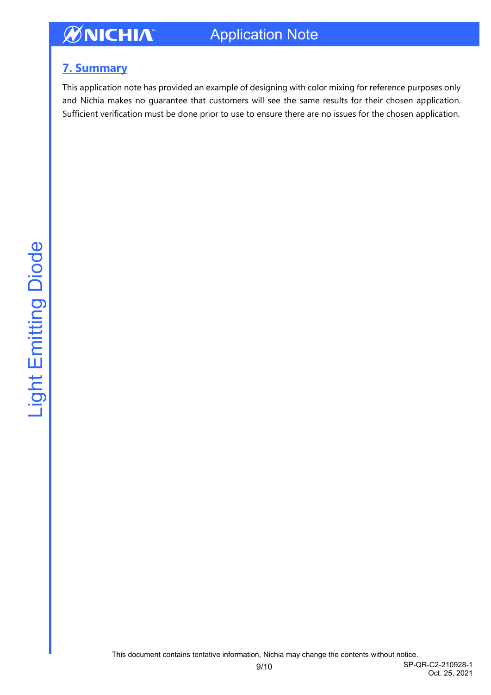## <span id="page-8-0"></span>**7. Summary**

This application note has provided an example of designing with color mixing for reference purposes only and Nichia makes no guarantee that customers will see the same results for their chosen application. Sufficient verification must be done prior to use to ensure there are no issues for the chosen application.